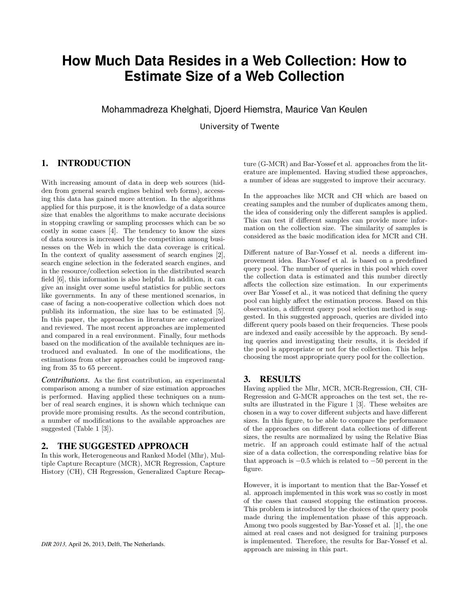# **How Much Data Resides in a Web Collection: How to Estimate Size of a Web Collection**

Mohammadreza Khelghati, Djoerd Hiemstra, Maurice Van Keulen

University of Twente

# 1. INTRODUCTION

With increasing amount of data in deep web sources (hidden from general search engines behind web forms), accessing this data has gained more attention. In the algorithms applied for this purpose, it is the knowledge of a data source size that enables the algorithms to make accurate decisions in stopping crawling or sampling processes which can be so costly in some cases [4]. The tendency to know the sizes of data sources is increased by the competition among businesses on the Web in which the data coverage is critical. In the context of quality assessment of search engines [2], search engine selection in the federated search engines, and in the resource/collection selection in the distributed search field [6], this information is also helpful. In addition, it can give an insight over some useful statistics for public sectors like governments. In any of these mentioned scenarios, in case of facing a non-cooperative collection which does not publish its information, the size has to be estimated [5]. In this paper, the approaches in literature are categorized and reviewed. The most recent approaches are implemented and compared in a real environment. Finally, four methods based on the modification of the available techniques are introduced and evaluated. In one of the modifications, the estimations from other approaches could be improved ranging from 35 to 65 percent.

*Contributions.* As the first contribution, an experimental comparison among a number of size estimation approaches is performed. Having applied these techniques on a number of real search engines, it is shown which technique can provide more promising results. As the second contribution, a number of modifications to the available approaches are suggested (Table 1 [3]).

## 2. THE SUGGESTED APPROACH

In this work, Heterogeneous and Ranked Model (Mhr), Multiple Capture Recapture (MCR), MCR Regression, Capture History (CH), CH Regression, Generalized Capture Recapture (G-MCR) and Bar-Yossef et al. approaches from the literature are implemented. Having studied these approaches, a number of ideas are suggested to improve their accuracy.

In the approaches like MCR and CH which are based on creating samples and the number of duplicates among them, the idea of considering only the different samples is applied. This can test if different samples can provide more information on the collection size. The similarity of samples is considered as the basic modification idea for MCR and CH.

Different nature of Bar-Yossef et al. needs a different improvement idea. Bar-Yossef et al. is based on a predefined query pool. The number of queries in this pool which cover the collection data is estimated and this number directly affects the collection size estimation. In our experiments over Bar Yossef et al., it was noticed that defining the query pool can highly affect the estimation process. Based on this observation, a different query pool selection method is suggested. In this suggested approach, queries are divided into different query pools based on their frequencies. These pools are indexed and easily accessible by the approach. By sending queries and investigating their results, it is decided if the pool is appropriate or not for the collection. This helps choosing the most appropriate query pool for the collection.

## 3. RESULTS

Having applied the Mhr, MCR, MCR-Regression, CH, CH-Regression and G-MCR approaches on the test set, the results are illustrated in the Figure 1 [3]. These websites are chosen in a way to cover different subjects and have different sizes. In this figure, to be able to compare the performance of the approaches on different data collections of different sizes, the results are normalized by using the Relative Bias metric. If an approach could estimate half of the actual size of a data collection, the corresponding relative bias for that approach is  $-0.5$  which is related to  $-50$  percent in the figure.

However, it is important to mention that the Bar-Yossef et al. approach implemented in this work was so costly in most of the cases that caused stopping the estimation process. This problem is introduced by the choices of the query pools made during the implementation phase of this approach. Among two pools suggested by Bar-Yossef et al. [1], the one aimed at real cases and not designed for training purposes is implemented. Therefore, the results for Bar-Yossef et al. approach are missing in this part.